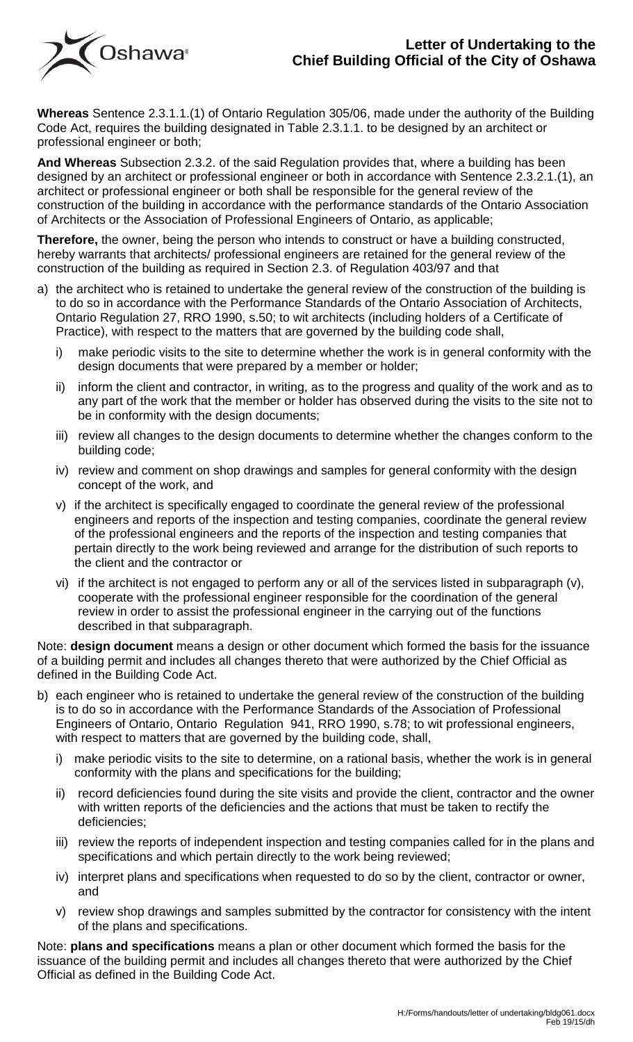## **Letter of Undertaking to the Chief Building Official of the City of Oshawa**



**Whereas** Sentence 2.3.1.1.(1) of Ontario Regulation 305/06, made under the authority of the Building Code Act, requires the building designated in Table 2.3.1.1. to be designed by an architect or professional engineer or both;

**And Whereas** Subsection 2.3.2. of the said Regulation provides that, where a building has been designed by an architect or professional engineer or both in accordance with Sentence 2.3.2.1.(1), an architect or professional engineer or both shall be responsible for the general review of the construction of the building in accordance with the performance standards of the Ontario Association of Architects or the Association of Professional Engineers of Ontario, as applicable;

**Therefore,** the owner, being the person who intends to construct or have a building constructed, hereby warrants that architects/ professional engineers are retained for the general review of the construction of the building as required in Section 2.3. of Regulation 403/97 and that

- a) the architect who is retained to undertake the general review of the construction of the building is to do so in accordance with the Performance Standards of the Ontario Association of Architects, Ontario Regulation 27, RRO 1990, s.50; to wit architects (including holders of a Certificate of Practice), with respect to the matters that are governed by the building code shall,
	- i) make periodic visits to the site to determine whether the work is in general conformity with the design documents that were prepared by a member or holder;
	- ii) inform the client and contractor, in writing, as to the progress and quality of the work and as to any part of the work that the member or holder has observed during the visits to the site not to be in conformity with the design documents;
	- iii) review all changes to the design documents to determine whether the changes conform to the building code;
	- iv) review and comment on shop drawings and samples for general conformity with the design concept of the work, and
	- v) if the architect is specifically engaged to coordinate the general review of the professional engineers and reports of the inspection and testing companies, coordinate the general review of the professional engineers and the reports of the inspection and testing companies that pertain directly to the work being reviewed and arrange for the distribution of such reports to the client and the contractor or
	- vi) if the architect is not engaged to perform any or all of the services listed in subparagraph (v), cooperate with the professional engineer responsible for the coordination of the general review in order to assist the professional engineer in the carrying out of the functions described in that subparagraph.

Note: **design document** means a design or other document which formed the basis for the issuance of a building permit and includes all changes thereto that were authorized by the Chief Official as defined in the Building Code Act.

- b) each engineer who is retained to undertake the general review of the construction of the building is to do so in accordance with the Performance Standards of the Association of Professional Engineers of Ontario, Ontario Regulation 941, RRO 1990, s.78; to wit professional engineers, with respect to matters that are governed by the building code, shall,
	- i) make periodic visits to the site to determine, on a rational basis, whether the work is in general conformity with the plans and specifications for the building;
	- ii) record deficiencies found during the site visits and provide the client, contractor and the owner with written reports of the deficiencies and the actions that must be taken to rectify the deficiencies;
	- iii) review the reports of independent inspection and testing companies called for in the plans and specifications and which pertain directly to the work being reviewed;
	- iv) interpret plans and specifications when requested to do so by the client, contractor or owner, and
	- v) review shop drawings and samples submitted by the contractor for consistency with the intent of the plans and specifications.

Note: **plans and specifications** means a plan or other document which formed the basis for the issuance of the building permit and includes all changes thereto that were authorized by the Chief Official as defined in the Building Code Act.